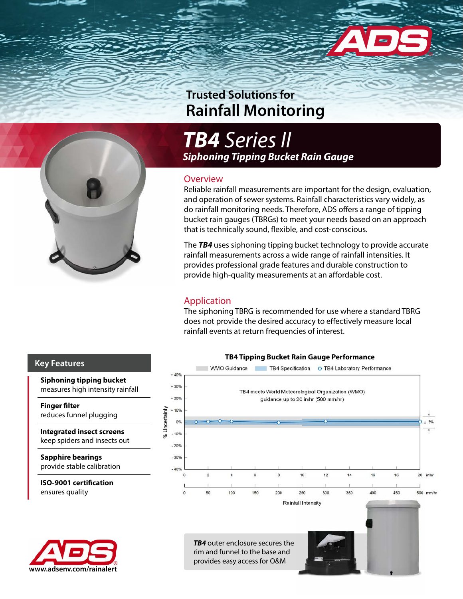



*TB4 Series II Siphoning Tipping Bucket Rain Gauge*

### **Overview**

Reliable rainfall measurements are important for the design, evaluation, and operation of sewer systems. Rainfall characteristics vary widely, as do rainfall monitoring needs. Therefore, ADS offers a range of tipping bucket rain gauges (TBRGs) to meet your needs based on an approach that is technically sound, flexible, and cost-conscious.

The *TB4* uses siphoning tipping bucket technology to provide accurate rainfall measurements across a wide range of rainfall intensities. It provides professional grade features and durable construction to provide high-quality measurements at an affordable cost.

## Application

The siphoning TBRG is recommended for use where a standard TBRG does not provide the desired accuracy to effectively measure local rainfall events at return frequencies of interest.



### **Key Features**

**Siphoning tipping bucket** measures high intensity rainfall

**Finger filter** reduces funnel plugging

**Integrated insect screens** keep spiders and insects out

**Sapphire bearings** provide stable calibration

**ISO-9001 certification** ensures quality